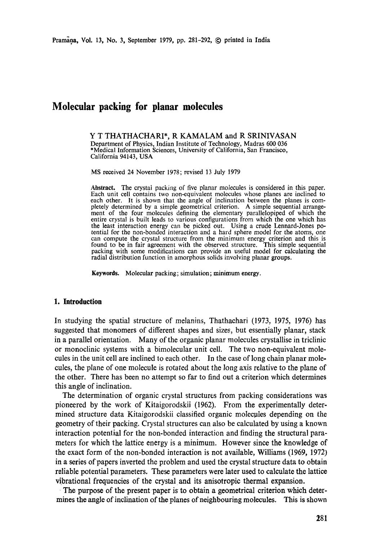# **Molecular packing for planar molecules**

Y T THATHACHARI\*, R KAMALAM and R SRINIVASAN Department of Physics, Indian Institute of Technology, Madras 600 036 \*Medical Information Sciences, University of California, San Francisco, California 94143, USA

MS received 24 November 1978; revised 13 July 1979

Abstract. The crystal packing of five planar molecules is considered in this paper. Each unit cell contains two non-equivalent molecules whose planes are inclined to each other. It is shown that the angle of inclination between the planes is completely determined by a simple geometrical criterion. A simple sequential arrangement of the four molecules defining the elementary parallelopiped of which the entire crystal is built leads to various configurations from which the one which has the least interaction energy can be picked out. Using a crude Lennard-Jones potential for the non-bonded interaction and a hard sphere model for the atoms, one can compute the crystal structure from the minimum energy criterion and this is found to be in fair agreement with the observed structure. This simple sequential packing with some modifications can provide an useful model for calculating the radial distribution function in amorphous solids involving planar groups.

Keywords. Molecular packing; simulation; minimum energy.

#### **1. Introduction**

In studying the spatial structure of melanins, Thathachari (1973, 1975, 1976) has suggested that monomers of different shapes and sizes, but essentially planar, stack in a parallel orientation. Many of the organic planar molecules crystallise in triclinic or monoclinic systems with a bimolecular unit cell. The two non-equivalent molecules in the unit cell are inclined to each other. In the case of long chain planar molecules, the plane of one molecule is rotated about the long axis relative to the plane of the other. There has been no attempt so far to find out a criterion which determines this angle of inclination.

The determination of organic crystal structures from packing considerations was pioneered by the work of Kitaigorodskii (1962). From the experimentally determined structure data Kitaigorodskii classified organic molecules depending on the geometry of their packing. Crystal structures can also be calculated by using a known interaction potential for the non-bonded interaction and finding the structural parameters for which the lattice energy is a minimum. However since the knowledge of the exact form of the non-bonded interaction is not available, Williams (1969, 1972) in a series of papers inverted the problem and used the crystal structure data to obtain reliable potential parameters. These parameters were later used to calculate the lattice vibrational frequencies of the crystal and its anisotropic thermal expansion.

The purpose of the present paper is to obtain a geometrical criterion which determines the angle of inclination of the planes of neighbouring molecules. This is shown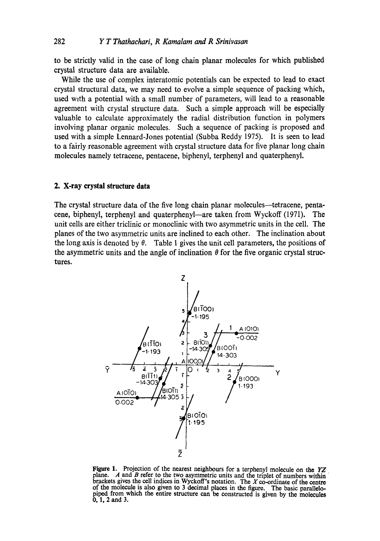to be strictly valid in the case of long chain planar molecules for which published crystal structure data are available.

While the use of complex interatomic potentials can be expected to lead to exact crystal structural data, we may need to evolve a simple sequence of packing which, used with a potential with a small number of parameters, will lead to a reasonable agreement with crystal structure data. Such a simple approach will be especially valuable to calculate approximately the radial distribution function in polymers involving planar organic molecules. Such a sequence of packing is proposed and used with a simple Lennard-Jones potential (Subba Reddy 1975). It is seen to lead to a fairly reasonable agreement with crystal structure data for five planar long chain molecules namely tetracene, pentacene, biphenyl, terphenyl and quaterphenyl.

#### **2. X-ray crystal structure data**

The crystal structure data of the five long chain planar molecules--tetracene, pentacene, biphenyl, terphenyl and quaterphenyl--are taken from Wyckoff (1971). The unit cells are either triclinic or monoclinic with two asymmetric units in the cell. The planes of the two asymmetric units are inclined to each other. The inclination about the long axis is denoted by  $\theta$ . Table 1 gives the unit cell parameters, the positions of the asymmetric units and the angle of inclination  $\theta$  for the five organic crystal structures.



Figure 1. Projection of the nearest neighbours for a terphenyl molecule on the *YZ*  plane. A and B refer to the two asymmetric units and the triplet of numbers within brackets gives the cell indices in Wyckoff's notation. The  $X$  co-ordinate of the centre of the molecule is also given to 3 decimal places in the figure. The basic parallelopiped from which the entire structure can be constructed is given by the molecules 0, 1, 2 and 3.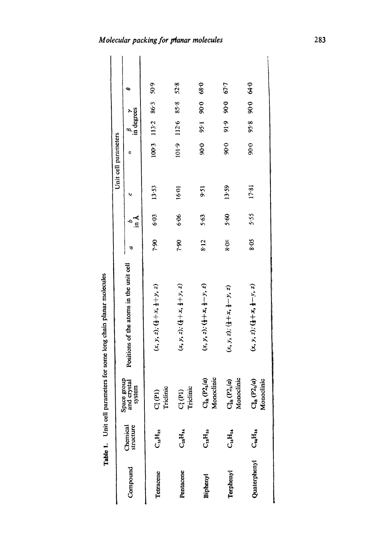Table 1. Unit cell parameters for some long chain planar molecules Unit cell parameters for some long chain planar molecules

|                      | c                                       | 50.9                                                  | 52.8                                                  | 68.0                                                  | 67.7                                                  | 6.59                                                  |
|----------------------|-----------------------------------------|-------------------------------------------------------|-------------------------------------------------------|-------------------------------------------------------|-------------------------------------------------------|-------------------------------------------------------|
|                      |                                         | 86.3                                                  | $8 - 8$                                               | 0.06                                                  | 90.06                                                 | 90.0                                                  |
|                      | $\int_{x}^{\beta}$ degrees              | $100.3$ 113.2                                         | 112.6                                                 | 95.1                                                  | 9:9                                                   | 95.8                                                  |
| Unit cell parameters |                                         |                                                       | 101.9                                                 | 90.0                                                  | 90.0                                                  | 90.0                                                  |
|                      | υ                                       | 13.53                                                 | 16.01                                                 | $9-51$                                                | 13.59                                                 | 17.81                                                 |
|                      | k<br>E                                  | 6.03                                                  | 6.06                                                  | 5.63                                                  | 5.60                                                  | 5.55                                                  |
|                      |                                         | 7.90                                                  | 7.90                                                  | 8.12                                                  | 8.08                                                  | 8.05                                                  |
|                      | Positions of the atoms in the unit cell | $(x, y, z)$ ; $(\frac{1}{2} + x, \frac{1}{2} + y, z)$ | $(x, y, z)$ ; $(\frac{1}{2} + x, \frac{1}{2} + y, z)$ | $(x, y, z)$ ; $(\frac{1}{2} + x, \frac{1}{2} - y, z)$ | $(x, y, z)$ ; $(\frac{1}{2} + x, \frac{1}{2} - y, z)$ | $(x, y, z)$ ; $(\frac{1}{2} + x, \frac{1}{2} - 1, z)$ |
|                      | Space group<br>and crystal<br>system    | Triclinic<br>$\mathrm{C}^{1}_1\mathrm{(P1)}$          | $C^1_1(P1)$<br>Triclinic                              | Monoclinic<br>$(P_4/a)$<br>ೣಁ                         | $C_{2h}^{s} (P_{2l}/a)$<br>Monoclinic                 | $P_1(a)$<br>pclinic<br>Mono<br>್ಯ<br>೮                |
|                      | Chemical<br>structure                   | $C_{18}H_{12}$                                        | $C_{23}H_{14}$                                        | $\mathrm{C}_{\mathbf{a}}\mathrm{H}_{\mathbf{10}}$     | $\mathbf{C}_{\mathbf{16}}\mathbf{H}_{\mathbf{14}}$    | $\mathrm{C}_{\mathrm{a_4}}\mathrm{H}_{\mathrm{18}}$   |
|                      | Compound                                | Tetracene                                             | Pentacene                                             | Biphenyl                                              | Terphenyl                                             | Quaterphenyl                                          |

 $\overline{\phantom{a}}$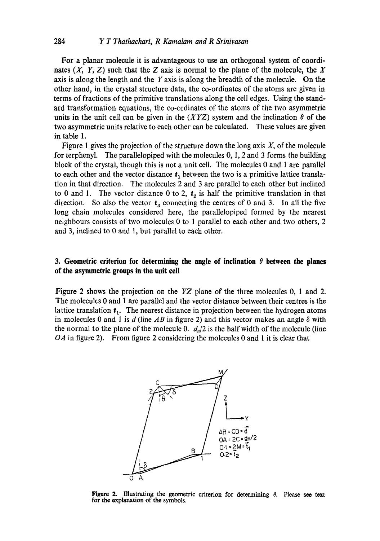For a planar molecule it is advantageous to use an orthogonal system of coordinates  $(X, Y, Z)$  such that the Z axis is normal to the plane of the molecule, the X axis is along the length and the Y axis is along the breadth of the molecule. On the other hand, in the crystal structure data, the co-ordinates of the atoms are given in terms of fractions of the primitive translations along the cell edges. Using the standard transformation equations, the co-ordinates of the atoms of the two asymmetric units in the unit cell can be given in the  $(XYZ)$  system and the inclination  $\theta$  of the two asymmetric units relative to each other can be calculated. These values are given in table 1.

Figure 1 gives the projection of the structure down the long axis  $X$ , of the molecule for terphenyl. The parallelopiped with the molecules 0, l, 2 and 3 forms the building block of the crystal, though this is not a unit cell. The molecules 0 and 1 are parallel to each other and the vector distance  $t_1$  between the two is a primitive lattice translation in that direction. The molecules 2 and 3 are parallel to each other but inclined to 0 and 1. The vector distance 0 to 2,  $t<sub>2</sub>$  is half the primitive translation in that direction. So also the vector  $t_3$  connecting the centres of 0 and 3. In all the five long chain molecules considered here, the parallelopiped formed by the nearest ne;ghbours consists of two molecules 0 to 1 parallel to each other and two others, 2 and 3, inclined to 0 and 1, but parallel to each other.

## **3. Geometric criterion for determining the angle of inclination**  $\theta$  **between the planes of the asymmetric groups in the unit cell**

Figure 2 shows the projection on the *YZ* plane of the three molecules 0, 1 and 2. The molecules 0 and 1 are parallel and the vector distance between their centres is the lattice translation  $t_1$ . The nearest distance in projection between the hydrogen atoms in molecules 0 and 1 is  $d$  (line  $AB$  in figure 2) and this vector makes an angle  $\delta$  with the normal to the plane of the molecule 0.  $d_n/2$  is the half width of the molecule (line *OA* in figure 2). From figure 2 considering the molecules 0 and 1 it is clear that



**Figure 2.** Illustrating the geometric criterion for determining  $\theta$ . Please see text **for the** explanation of the symbols.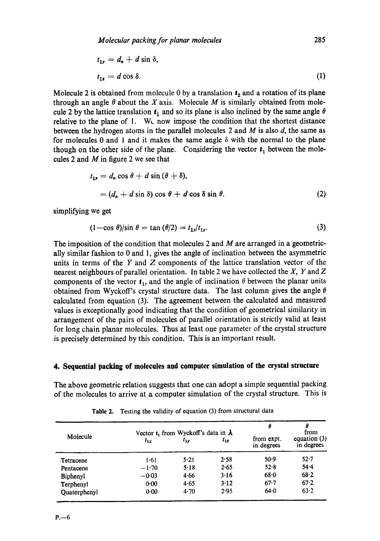$$
t_{1y} = d_n + d \sin \delta,
$$
  

$$
t_{1z} = d \cos \delta.
$$
 (1)

Molecule 2 is obtained from molecule 0 by a translation  $t<sub>2</sub>$  and a rotation of its plane through an angle  $\theta$  about the X axis. Molecule M is similarly obtained from molecule 2 by the lattice translation  $t_1$  and so its plane is also inclined by the same angle  $\theta$ relative to the plane of 1. W $\epsilon$  now impose the condition that the shortest distance between the hydrogen atoms in the parallel molecules 2 and  $M$  is also  $d$ , the same as for molecules 0 and 1 and it makes the same angle  $\delta$  with the normal to the plane though on the other side of the plane. Considering the vector  $t_1$  between the molecules 2 and  $M$  in figure 2 we see that

$$
t_{1r} = d_n \cos \theta + d \sin (\theta + \delta),
$$
  
=  $(d_n + d \sin \delta) \cos \theta + d \cos \delta \sin \theta.$  (2)

simplifying we get

$$
(1 - \cos \theta)/\sin \theta = \tan (\theta/2) = t_{1y}/t_{1z}.
$$
 (3)

The imposition of the condition that molecules 2 and  $M$  are arranged in a geometrically similar fashion to 0 and 1, gives the angle of inclination between the asymmetric units in terms of the  $Y$  and  $Z$  components of the lattice translation vector of the nearest neighbours of parallel orientation. In table 2 we have collected the  $X$ ,  $Y$  and  $Z$ components of the vector  $t_1$ , and the angle of inclination  $\theta$  between the planar units obtained from Wyckoff's crystal structure data. The last column gives the angle  $\theta$ calculated from equation (3). The agreement between the calculated and measured values is exceptionally good indicating that the condition of geometrical similarity in arrangement of the pairs of molecules of parallel orientation is strictly valid at least for long chain planar molecules. Thus at least one parameter of the crystal structure is precisely determined by this condition. This is an important result.

## **4. Sequential packing of molecules and computer simulation of the crystal structure**

The above geometric relation suggests that one can adopt a simple sequential packing of the molecules to arrive at a computer simulation of the crystal structure. This is

|                     |          | Vector $t_1$ from Wyckoff's data in $\dot{A}$ |          | θ                        | from                         |
|---------------------|----------|-----------------------------------------------|----------|--------------------------|------------------------------|
| Molecule            | $t_{1x}$ | $t_{1y}$                                      | $t_{1z}$ | from expt.<br>in degrees | equation $(3)$<br>in degrees |
| Tetracene           | 1.61     | 5.21                                          | 2.58     | 50.9                     | $52 - 7$                     |
| Pentacene           | $-1.70$  | 5.18                                          | 2.65     | 52.8                     | $54 - 4$                     |
| Biphenyl            | $-0.03$  | 4.66                                          | 3.16     | 68.0                     | $68 - 2$                     |
| Terphenyl           | 0.00     | 4.65                                          | 3.12     | $67 - 7$                 | $67 - 2$                     |
| <b>Ouaterphenyl</b> | $0 - 00$ | 4.70                                          | 2.95     | 64.0                     | 63.2                         |

**Table** 2. Testing the validity of equation (3) from structural data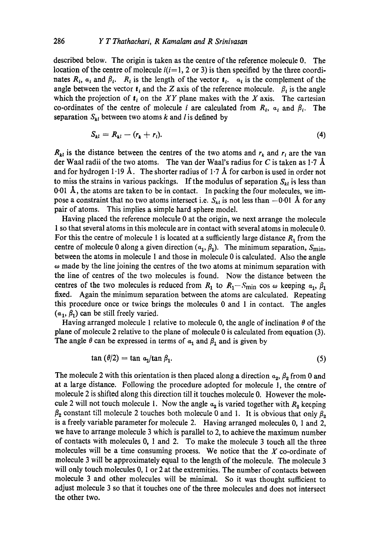described below. The origin is taken as the centre of the reference molecule 0. The location of the centre of molecule  $i(i=1, 2 \text{ or } 3)$  is then specified by the three coordinates  $R_i$ ,  $a_i$  and  $\beta_i$ .  $R_i$  is the length of the vector  $t_i$ .  $a_i$  is the complement of the angle between the vector  $t_i$  and the Z axis of the reference molecule.  $\beta_i$  is the angle which the projection of  $t_i$  on the *XY* plane makes with the *X* axis. The cartesian co-ordinates of the centre of molecule i are calculated from  $R_i$ ,  $a_i$  and  $\beta_i$ . The separation  $S_{kl}$  between two atoms k and l is defined by

$$
S_{kl} = R_{kl} - (r_k + r_l). \tag{4}
$$

 $R_{kl}$  is the distance between the centres of the two atoms and  $r_k$  and  $r_l$  are the van der Waal radii of the two atoms. The van der Waal's radius for C is taken as 1.7  $\AA$ and for hydrogen 1.19 Å. The shorter radius of 1.7 Å for carbon is used in order not to miss the strains in various packings. If the modulus of separation  $S_{ki}$  is less than  $0.01$  Å, the atoms are taken to be in contact. In packing the four molecules, we impose a constraint that no two atoms intersect i.e.  $S_{kl}$  is not less than  $-0.01$  Å for any pair of atoms. This implies a simple hard sphere model.

Having placed the reference molecule 0 at the origin, we next arrange the molecule 1 so that several atoms in this molecule are in contact with several atoms in molecule 0. For this the centre of molecule 1 is located at a sufficiently large distance  $R_1$  from the centre of molecule 0 along a given direction  $(\alpha_1, \beta_1)$ . The minimum separation,  $S_{\text{min}}$ , between the atoms in molecule 1 and those in molecule 0 is calculated. Also the angle  $\omega$  made by the line joining the centres of the two atoms at minimum separation with the line of centres of the two molecules is found. Now the distance between the centres of the two molecules is reduced from  $R_1$  to  $R_1-S_{\text{min}}$  cos  $\omega$  keeping  $\alpha_1, \beta_1$ fixed. Again the minimum separation between the atoms are calculated. Repeating this procedure once or twice brings the molecules 0 and 1 in contact. The angles  $(a_1, \beta_1)$  can be still freely varied.

Having arranged molecule 1 relative to molecule 0, the angle of inclination  $\theta$  of the plane of molecule 2 relative to the plane of molecule 0 is calculated from equation (3). The angle  $\theta$  can be expressed in terms of  $\alpha_1$  and  $\beta_1$  and is given by

$$
\tan (\theta/2) = \tan a_1/\tan \beta_1. \tag{5}
$$

The molecule 2 with this orientation is then placed along a direction  $a_2$ ,  $\beta_2$  from 0 and at a large distance. Following the procedure adopted for molecule 1, the centre of molecule 2 is shifted along this direction till it touches molecule 0. However the molecule 2 will not touch molecule 1. Now the angle  $a_2$  is varied together with  $R_2$  keeping  $\beta_2$  constant till molecule 2 touches both molecule 0 and 1. It is obvious that only  $\beta_2$ is a freely variable parameter for molecule 2. Having arranged molecules 0, 1 and 2, we have to arrange molecule 3 which is parallel to 2, to achieve the maximum number of contacts with molecules 0, 1 and 2. To make the molecule 3 touch all the three molecules will be a time consuming process. We notice that the  $X$  co-ordinate of molecule 3 will be approximately equal to the length of the molecule. The molecule 3 will only touch molecules 0, 1 or 2 at the extremities. The number of contacts between molecule 3 and other molecules will be minimal. So it was thought sufficient to adjust molecule 3 so that it touches one of the three molecules and does not intersect the other two.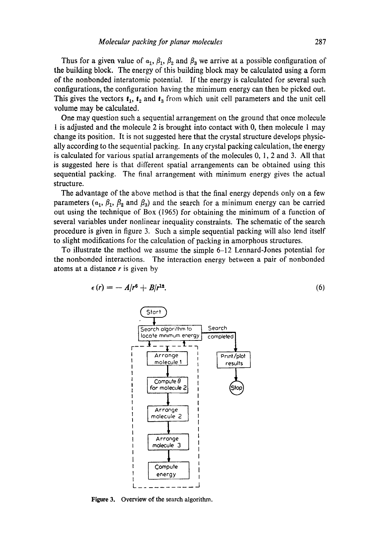Thus for a given value of  $a_1$ ,  $\beta_1$ ,  $\beta_2$  and  $\beta_3$  we arrive at a possible configuration of the building block. The energy of this building block may be calculated using a form of the nonbonded interatomic potential. If the energy is calculated for several such configurations, the configuration having the minimum energy can then be picked out. This gives the vectors  $t_1$ ,  $t_2$  and  $t_3$  from which unit cell parameters and the unit cell volume may be calculated.

One may question such a sequential arrangement on the ground that once molecule t is adjusted and the molecule 2 is brought into contact with 0, then molecule 1 may change its position. It is not suggested here that the crystal structure develops physically according to the sequential packing. In any crystal packing calculation, the energy is calculated for various spatial arrangements of the molecules 0, 1, 2 and 3. All that is suggested here is that different spatial arrangements can be obtained using this sequential packing. The final arrangement with minimum energy gives the actual structure.

The advantage of the above method is that the final energy depends only on a few parameters ( $\alpha_1$ ,  $\beta_1$ ,  $\beta_2$  and  $\beta_3$ ) and the search for a minimum energy can be carried out using the technique of Box (1965) for obtaining the minimum of a function of several variables under nonlinear inequality constraints. The schematic of the search procedure is given in figure 3. Such a simple sequential packing will also lend itself to slight modifications for the calculation of packing in amorphous structures.

To illustrate the method we assume the simple 6-12 Lennard-Jones potential for the nonbonded interactions. The interaction energy between a pair of nonbonded atoms at a distance  $r$  is given by

$$
\epsilon(r) = -A/r^6 + B/r^{12}.\tag{6}
$$



Figure 3. Overview of the search algorithm.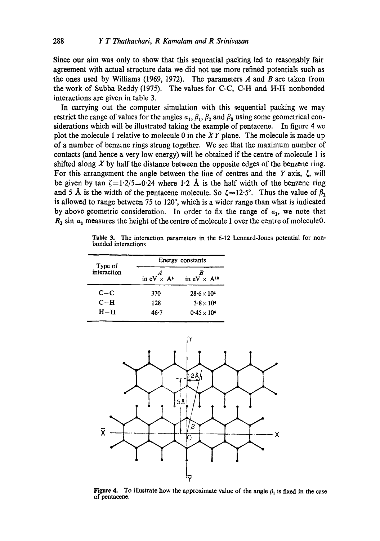Since our aim was only to show that this sequential packing led to reasonably fair agreement with actual structure data we did not use more refined potentials such as the ones used by Williams (1969, 1972). The parameters A and B are taken from the work of Subba Reddy (1975). The values for C-C, C-H and H-H nonbonded interactions are given in table 3.

In carrying out the computer simulation with this sequential packing we may restrict the range of values for the angles  $a_1, \beta_1, \beta_2$  and  $\beta_3$  using some geometrical considerations which will be illustrated taking the example of pentacene. In figure 4 we plot the molecule 1 relative to molecule 0 in the *XY* plane. The molecule is made up of a number of benz~ne rings strung together. We see that the maximum number of contacts (and hence a very low energy) will be obtained if the centre of molecule 1 is shifted along  $X$  by half the distance between the opposite edges of the benzene ring. For this arrangement the angle between the line of centres and the Y axis,  $\zeta$ , will be given by tan  $\zeta = 1.2/5 = 0.24$  where 1.2 Å is the half width of the benzene ring and 5 Å is the width of the pentacene molecule. So  $\zeta = 12.5^\circ$ . Thus the value of  $\beta_1$ is allowed to range between 75 to 120°, which is a wider range than what is indicated by above geometric consideration. In order to fix the range of  $a_1$ , we note that  $R_1$  sin  $a_1$  measures the height of the centre of molecule 1 over the centre of molecule 0.

**Table** 3. The interaction parameters in the 6-12 Lennard-Jones potential for nonbonded interactions

| Type of     | Energy constants           |                       |  |  |
|-------------|----------------------------|-----------------------|--|--|
| interaction | in $eV \times A^{\bullet}$ | in $eV \times A^{12}$ |  |  |
| $C-C$       | 370                        | $28.6 \times 10^{4}$  |  |  |
| $C-H$       | 128                        | $3.8\times10^4$       |  |  |
| $H-H$       | 46.7                       | $0.45 \times 10^{4}$  |  |  |



Figure 4. To illustrate how the approximate value of the angle  $\beta_1$  is fixed in the case of pentacene.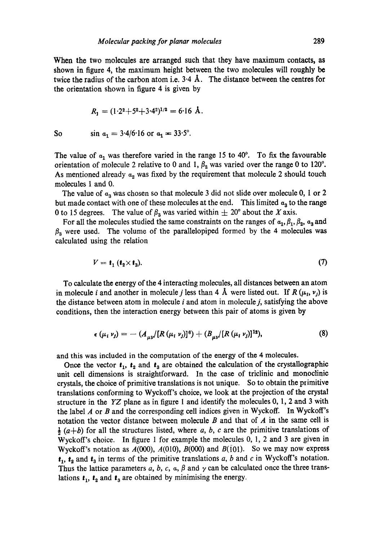When the two molecules are arranged such that they have maximum contacts, as shown in figure 4, the maximum height between the two molecules will roughly be twice the radius of the carbon atom i.e.  $3.4 \text{ Å}$ . The distance between the centres for the orientation shown in figure 4 is given by

$$
R_1 = (1 \cdot 2^2 + 5^2 + 3 \cdot 4^2)^{1/2} = 6 \cdot 16 \text{ Å}.
$$

So 
$$
\sin a_1 = 3.4/6.16
$$
 or  $a_1 = 33.5^\circ$ .

The value of  $a_1$  was therefore varied in the range 15 to 40°. To fix the favourable orientation of molecule 2 relative to 0 and 1,  $\beta_2$  was varied over the range 0 to 120<sup>o</sup>. As mentioned already  $a_2$  was fixed by the requirement that molecule 2 should touch molecules 1 and 0.

The value of  $\alpha_3$  was chosen so that molecule 3 did not slide over molecule 0, 1 or 2 but made contact with one of these molecules at the end. This limited  $\alpha_a$  to the range 0 to 15 degrees. The value of  $\beta_3$  was varied within  $\pm 20^\circ$  about the X axis.

For all the molecules studied the same constraints on the ranges of  $\alpha_1, \beta_1, \beta_2, \alpha_3$  and  $\beta_3$  were used. The volume of the parallelopiped formed by the 4 molecules was calculated using the relation

$$
V = t_1 \left( t_2 \times t_3 \right). \tag{7}
$$

To calculate the energy of the 4 interacting molecules, all distances between an atom in molecule *i* and another in molecule *j* less than 4 Å were listed out. If  $R(\mu_i, \nu_j)$  is the distance between atom in molecule  $i$  and atom in molecule  $j$ , satisfying the above conditions, then the interaction energy between this pair of atoms is given by

$$
\epsilon (\mu_i \nu_j) = - (A_{\mu\nu} / [R (\mu_i \nu_j)]^6) + (B_{\mu\nu} / [R (\mu_i \nu_j)]^{12}), \qquad (8)
$$

and this was included in the computation of the energy of the 4 molecules.

Once the vector  $t_1$ ,  $t_2$  and  $t_3$  are obtained the calculation of the crystallographic unit cell dimensions is straightforward. In the case of triclinic and monoclinic crystals, the choice of primitive translations is not unique. So to obtain the primitive translations conforming to Wyckoff's choice, we look at the projection of the crystal structure in the *YZ* plane as in figure 1 and identify the molecules 0, 1, 2 and 3 with the label  $A$  or  $B$  and the corresponding cell indices given in Wyckoff. In Wyckoff's notation the vector distance between molecule B and that of A in the same cell is  $\frac{1}{2}$  (a+b) for all the structures listed, where a, b, c are the primitive translations of Wyckoff's choice. In figure 1 for example the molecules 0, 1, 2 and 3 are given in Wyckoff's notation as  $A(000)$ ,  $A(010)$ ,  $B(000)$  and  $B(101)$ . So we may now express  $t_1$ ,  $t_2$  and  $t_3$  in terms of the primitive translations a, b and c in Wyckoff's notation. Thus the lattice parameters a, b, c, a,  $\beta$  and  $\gamma$  can be calculated once the three translations  $t_1$ ,  $t_2$  and  $t_3$  are obtained by minimising the energy.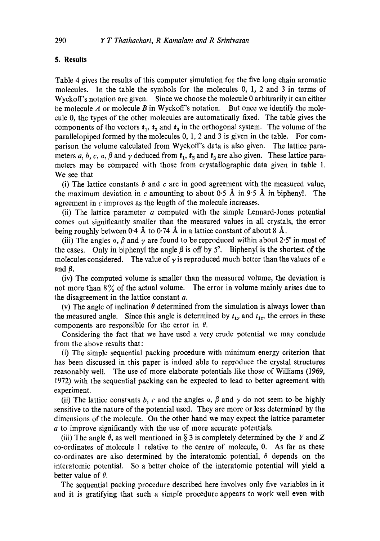#### **5. Results**

Table 4 gives the results of this computer simulation for the five long chain aromatic molecules. In the table the symbols for the molecules 0, 1, 2 and 3 in terms of Wyckoff's notation are given. Since we choose the molecule 0 arbitrarily it can either be molecule A or molecule B in Wyckoff's notation. But once we identify the molecule 0, the types of the other molecules are automatically fixed. The table gives the components of the vectors  $t_1$ ,  $t_2$  and  $t_3$  in the orthogonal system. The volume of the parallelopiped formed by the molecules 0, 1, 2 and 3 is given in the table. For comparison the volume calculated from Wyckoff's data is also given. The lattice parameters a, b, c, a,  $\beta$  and  $\gamma$  deduced from  $t_1$ ,  $t_2$  and  $t_3$  are also given. These lattice parameters may be compared with those from crystallographic data given in table 1. We see that

(i) The lattice constants  $b$  and  $c$  are in good agreement with the measured value, the maximum deviation in c amounting to about 0.5 Å in 9.5 Å in biphenyl. The agreement in  $c$  improves as the length of the molecule increases.

(ii) The lattice parameter  $a$  computed with the simple Lennard-Jones potential comes out significantly smaller than the measured values in all crystals, the error being roughly between  $0.4 \text{ Å}$  to  $0.74 \text{ Å}$  in a lattice constant of about 8  $\text{Å}$ .

(iii) The angles  $\alpha$ ,  $\beta$  and  $\gamma$  are found to be reproduced within about 2.5° in most of the cases. Only in biphenyl the angle  $\beta$  is off by 5°. Biphenyl is the shortest of the molecules considered. The value of  $\gamma$  is reproduced much better than the values of  $\alpha$ and  $\beta$ .

(iv) The computed volume is smaller than the measured volume, the deviation is not more than  $8\%$  of the actual volume. The error in volume mainly arises due to the disagreement in the lattice constant a.

(v) The angle of inclination  $\theta$  determined from the simulation is always lower than the measured angle. Since this angle is determined by  $t_{1y}$  and  $t_{1z}$ , the errors in these components are responsible for the error in  $\theta$ .

Considering the fact that we have used a very crude potential we may conclude from the above results that:

(i) The simple sequential packing procedure with minimum energy criterion that has been discussed in this paper is indeed able to reproduce the crystal structures reasonably well. The use of more elaborate potentials like those of Williams (1969, 1972) with the sequential packing can be expected to lead to better agreement with experiment.

(ii) The lattice constants b, c and the angles  $\alpha$ ,  $\beta$  and  $\gamma$  do not seem to be highly sensitive to the nature of the potential used. They are more or less determined by the dimensions of the molecule. On the other hand we may expect the lattice parameter a to improve significantly with the use of more accurate potentials.

(iii) The angle  $\theta$ , as well mentioned in § 3 is completely determined by the Y and Z co-ordinates of molecule 1 relative to the centre of molecule, 0. As far as these co-ordinates are also determined by the interatomic potential,  $\theta$  depends on the interatomic potential. So a better choice of the interatomic potential will yield a better value of  $\theta$ .

The sequential packing procedure described here involves only five variables in it and it is gratifying that such a simple procedure appears to work well even with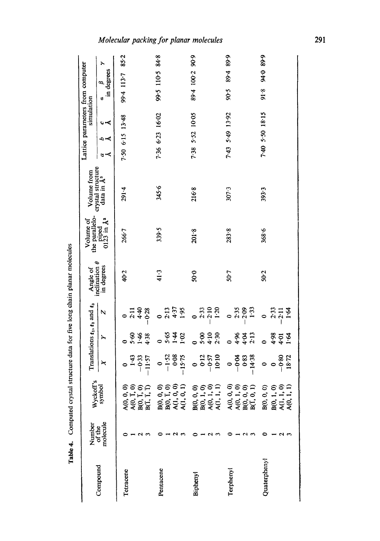|              | Number             |                                                                                      |                                          |                                        | Translations $t_1, t_2$ and $t_3$       | Angle of                           | the parallelo-<br>Volume of | Volume from                                 | Lattice parameters from computer |                 | simulation |                 |                                    |   |
|--------------|--------------------|--------------------------------------------------------------------------------------|------------------------------------------|----------------------------------------|-----------------------------------------|------------------------------------|-----------------------------|---------------------------------------------|----------------------------------|-----------------|------------|-----------------|------------------------------------|---|
| Compound     | molecule<br>of the | Wyckoff's<br>symbol                                                                  | ×                                        | ≻                                      | N                                       | inclination $\theta$<br>in degrees | piped<br>$0123$ in $\AA^3$  | crystal structure<br>data in A <sup>3</sup> | $\sim$                           | ہے ت<br>∽∝      |            | ð               | in degrees<br>$\boldsymbol{\beta}$ | ≻ |
| Tetracene    |                    | $A(0, 0, 0, 0)$<br>$A(0, T, 0)$<br>$B(0, T, T)$<br>$B(T, T, T)$                      | $\frac{43}{4}$<br>$-0.33$<br>$-11.57$    | 1.46<br><b>S</b> .60<br>4.38           | $2.11$<br>$4.40$<br>$-0.28$<br>0        | 40.2                               | 266.7                       | 291.4                                       | 7.50 6.15 13.48                  |                 |            | 99.4 113.7 85.2 |                                    |   |
| Pentacene    |                    | B(0, 0, 0)<br>B(0, I, 0, 0)<br>A(1, 0, 0)<br>A(1, 0, 1)                              | $-1.52$<br>0.08<br>-15.75<br>$\bullet$   | 5.65<br>1.02<br>$\bullet$              | $2:13$<br>$4:37$<br>$1:95$              | 41.3                               | 339.5                       | 345.6                                       | 7.36 6.23 16.02                  |                 |            |                 | 99.5 110.5 84.8                    |   |
| Biphenyl     |                    | <b>B</b> (0, 0, 0)<br><b>B</b> (0, 1, 0)<br><b>A</b> (0, 1, 1)<br><b>A</b> (1, 1, 1) | $-0.12$<br>$-0.57$<br>10.10<br>$\bullet$ | $4:10$<br>2:30<br>5.00                 | $2:33$<br>$2:50$<br>$1:20$<br>$\bullet$ | $50-0$                             | 201.8                       | 216.8                                       | 7.38 5.52 10.05                  |                 |            |                 | 89.4 100.2 90.9                    |   |
| Terphenyl    |                    | $A(0, 0, 0)$<br>$A(0, 1, 0)$<br>$B(0, 0, 0)$<br>$B(T, 0, 1)$                         | $-0.83$<br>-0.04<br>-14.38               | 4.3<br>4.96                            | $-2.35$<br>$-2.33$<br>Ò                 | 50.7                               | 283.8                       | 307.3                                       | 7.43 5.49 13.92                  |                 |            | 90.5            | 89.4 89.9                          |   |
| Quaterphenyl | c<br>$\sim$        | $B(0, 1, 0)$<br>A(1, 1, 0)<br>A(0, 1, 1)<br>$\widehat{\circ}$<br>B(0, 0,             | $-0.80$<br>18.72<br>0<br>$\bullet$       | $4.98$<br>$4.9$<br>$\overline{a}$<br>ò | 2.33<br>$\ddot{2}$<br>$-2.11$<br>0      | 50 <sub>2</sub>                    | 368.6                       | 393.3                                       |                                  | 7.40 5.50 18.15 |            | 91.8            | 94.0 89.9                          |   |

Table 4. Computed crystal structure data for five long chain planar molecules Table 4. Computed crystal structure data for five long chain planar molecules Molecular packing for planar molecules

291